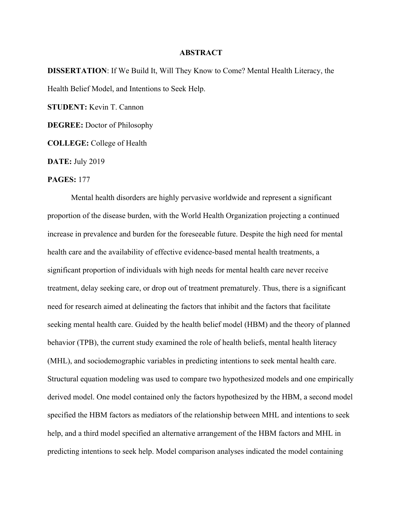## **ABSTRACT**

**DISSERTATION**: If We Build It, Will They Know to Come? Mental Health Literacy, the Health Belief Model, and Intentions to Seek Help.

**STUDENT:** Kevin T. Cannon

**DEGREE:** Doctor of Philosophy

**COLLEGE:** College of Health

**DATE:** July 2019

## **PAGES:** 177

Mental health disorders are highly pervasive worldwide and represent a significant proportion of the disease burden, with the World Health Organization projecting a continued increase in prevalence and burden for the foreseeable future. Despite the high need for mental health care and the availability of effective evidence-based mental health treatments, a significant proportion of individuals with high needs for mental health care never receive treatment, delay seeking care, or drop out of treatment prematurely. Thus, there is a significant need for research aimed at delineating the factors that inhibit and the factors that facilitate seeking mental health care. Guided by the health belief model (HBM) and the theory of planned behavior (TPB), the current study examined the role of health beliefs, mental health literacy (MHL), and sociodemographic variables in predicting intentions to seek mental health care. Structural equation modeling was used to compare two hypothesized models and one empirically derived model. One model contained only the factors hypothesized by the HBM, a second model specified the HBM factors as mediators of the relationship between MHL and intentions to seek help, and a third model specified an alternative arrangement of the HBM factors and MHL in predicting intentions to seek help. Model comparison analyses indicated the model containing